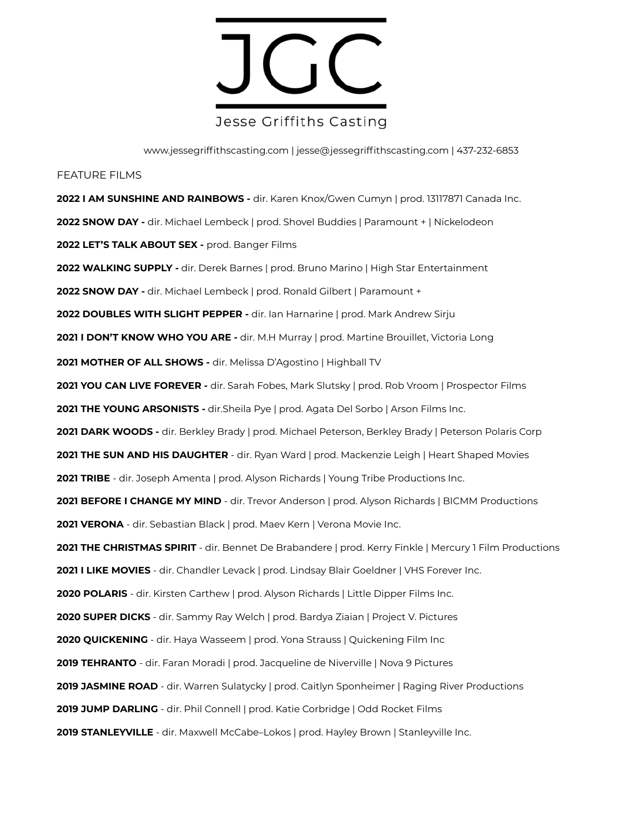

www.jessegriffithscasting.com | jesse@jessegriffithscasting.com | 437-232-6853

# FEATURE FILMS

**2022 I AM SUNSHINE AND RAINBOWS -** dir. Karen Knox/Gwen Cumyn | prod. 13117871 Canada Inc. **2022 SNOW DAY -** dir. Michael Lembeck | prod. Shovel Buddies | Paramount + | Nickelodeon **2022 LET'S TALK ABOUT SEX -** prod. Banger Films **2022 WALKING SUPPLY -** dir. Derek Barnes | prod. Bruno Marino | High Star Entertainment **2022 SNOW DAY -** dir. Michael Lembeck | prod. Ronald Gilbert | Paramount + **2022 DOUBLES WITH SLIGHT PEPPER -** dir. Ian Harnarine | prod. Mark Andrew Sirju **2021 I DON'T KNOW WHO YOU ARE -** dir. M.H Murray | prod. Martine Brouillet, Victoria Long **2021 MOTHER OF ALL SHOWS -** dir. Melissa D'Agostino | Highball TV **2021 YOU CAN LIVE FOREVER -** dir. Sarah Fobes, Mark Slutsky | prod. Rob Vroom | Prospector Films **2021 THE YOUNG ARSONISTS -** dir.Sheila Pye | prod. Agata Del Sorbo | Arson Films Inc. **2021 DARK WOODS -** dir. Berkley Brady | prod. Michael Peterson, Berkley Brady | Peterson Polaris Corp **2021 THE SUN AND HIS DAUGHTER** - dir. Ryan Ward | prod. Mackenzie Leigh | Heart Shaped Movies **2021 TRIBE** - dir. Joseph Amenta | prod. Alyson Richards | Young Tribe Productions Inc. 2021 BEFORE I CHANGE MY MIND - dir. Trevor Anderson | prod. Alyson Richards | BICMM Productions **2021 VERONA** - dir. Sebastian Black | prod. Maev Kern | Verona Movie Inc. **2021 THE CHRISTMAS SPIRIT** - dir. Bennet De Brabandere | prod. Kerry Finkle | Mercury 1 Film Productions **2021 I LIKE MOVIES** - dir. Chandler Levack | prod. Lindsay Blair Goeldner | VHS Forever Inc. **2020 POLARIS** - dir. Kirsten Carthew | prod. Alyson Richards | Little Dipper Films Inc. **2020 SUPER DICKS** - dir. Sammy Ray Welch | prod. Bardya Ziaian | Project V. Pictures **2020 QUICKENING** - dir. Haya Wasseem | prod. Yona Strauss | Quickening Film Inc **2019 TEHRANTO** - dir. Faran Moradi | prod. Jacqueline de Niverville | Nova 9 Pictures **2019 JASMINE ROAD** - dir. Warren Sulatycky | prod. Caitlyn Sponheimer | Raging River Productions **2019 JUMP DARLING** - dir. Phil Connell | prod. Katie Corbridge | Odd Rocket Films 2019 STANLEYVILLE - dir. Maxwell McCabe–Lokos | prod. Hayley Brown | Stanleyville Inc.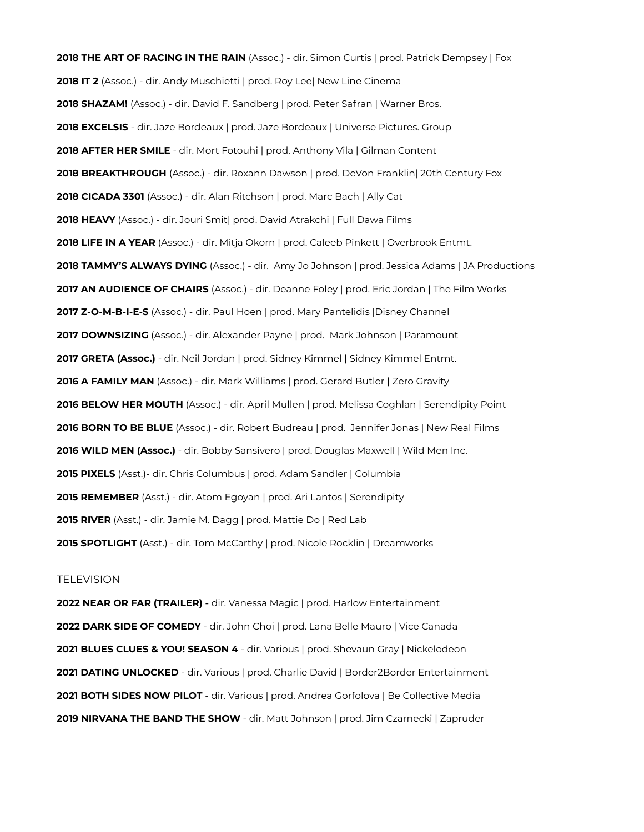**2018 THE ART OF RACING IN THE RAIN** (Assoc.) - dir. Simon Curtis | prod. Patrick Dempsey | Fox **2018 IT 2** (Assoc.) - dir. Andy Muschietti | prod. Roy Lee| New Line Cinema **2018 SHAZAM!** (Assoc.) - dir. David F. Sandberg | prod. Peter Safran | Warner Bros. **2018 EXCELSIS** - dir. Jaze Bordeaux | prod. Jaze Bordeaux | Universe Pictures. Group **2018 AFTER HER SMILE** - dir. Mort Fotouhi | prod. Anthony Vila | Gilman Content **2018 BREAKTHROUGH** (Assoc.) - dir. Roxann Dawson | prod. DeVon Franklin| 20th Century Fox **2018 CICADA 3301** (Assoc.) - dir. Alan Ritchson | prod. Marc Bach | Ally Cat **2018 HEAVY** (Assoc.) - dir. Jouri Smit| prod. David Atrakchi | Full Dawa Films **2018 LIFE IN A YEAR** (Assoc.) - dir. Mitja Okorn | prod. Caleeb Pinkett | Overbrook Entmt. **2018 TAMMY'S ALWAYS DYING** (Assoc.) - dir. Amy Jo Johnson | prod. Jessica Adams | JA Productions **2017 AN AUDIENCE OF CHAIRS** (Assoc.) - dir. Deanne Foley | prod. Eric Jordan | The Film Works **2017 Z-O-M-B-I-E-S** (Assoc.) - dir. Paul Hoen | prod. Mary Pantelidis |Disney Channel **2017 DOWNSIZING** (Assoc.) - dir. Alexander Payne | prod. Mark Johnson | Paramount **2017 GRETA (Assoc.)** - dir. Neil Jordan | prod. Sidney Kimmel | Sidney Kimmel Entmt. **2016 A FAMILY MAN** (Assoc.) - dir. Mark Williams | prod. Gerard Butler | Zero Gravity **2016 BELOW HER MOUTH** (Assoc.) - dir. April Mullen | prod. Melissa Coghlan | Serendipity Point **2016 BORN TO BE BLUE** (Assoc.) - dir. Robert Budreau | prod. Jennifer Jonas | New Real Films **2016 WILD MEN (Assoc.)** - dir. Bobby Sansivero | prod. Douglas Maxwell | Wild Men Inc. **2015 PIXELS** (Asst.)- dir. Chris Columbus | prod. Adam Sandler | Columbia **2015 REMEMBER** (Asst.) - dir. Atom Egoyan | prod. Ari Lantos | Serendipity **2015 RIVER** (Asst.) - dir. Jamie M. Dagg | prod. Mattie Do | Red Lab **2015 SPOTLIGHT** (Asst.) - dir. Tom McCarthy | prod. Nicole Rocklin | Dreamworks

## **TELEVISION**

**2022 NEAR OR FAR (TRAILER) -** dir. Vanessa Magic | prod. Harlow Entertainment **2022 DARK SIDE OF COMEDY** - dir. John Choi | prod. Lana Belle Mauro | Vice Canada **2021 BLUES CLUES & YOU! SEASON 4** - dir. Various | prod. Shevaun Gray | Nickelodeon **2021 DATING UNLOCKED** - dir. Various | prod. Charlie David | Border2Border Entertainment **2021 BOTH SIDES NOW PILOT** - dir. Various | prod. Andrea Gorfolova | Be Collective Media **2019 NIRVANA THE BAND THE SHOW** - dir. Matt Johnson | prod. Jim Czarnecki | Zapruder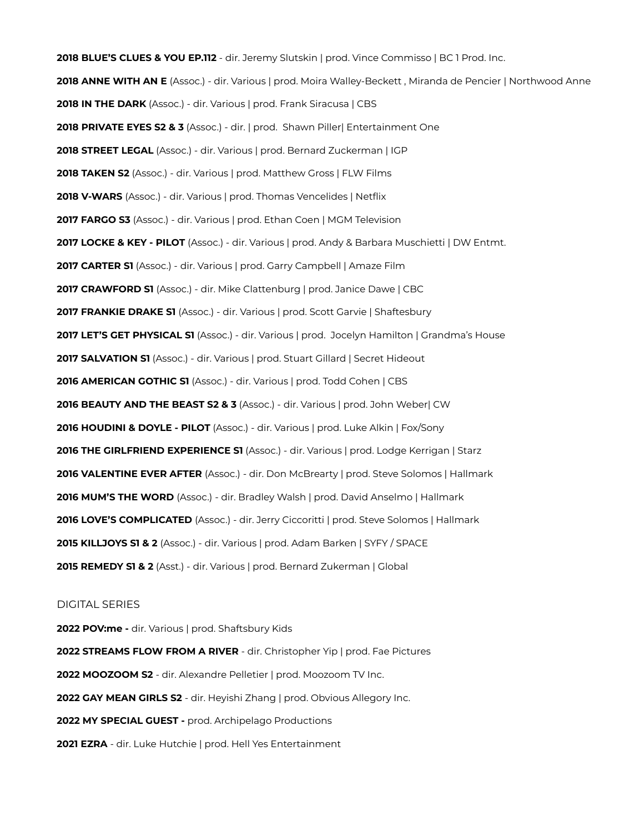**2018 BLUE'S CLUES & YOU EP.112** - dir. Jeremy Slutskin | prod. Vince Commisso | BC 1 Prod. Inc. **2018 ANNE WITH AN E** (Assoc.) - dir. Various | prod. Moira Walley-Beckett , Miranda de Pencier | Northwood Anne **2018 IN THE DARK** (Assoc.) - dir. Various | prod. Frank Siracusa | CBS **2018 PRIVATE EYES S2 & 3** (Assoc.) - dir. | prod. Shawn Piller| Entertainment One **2018 STREET LEGAL** (Assoc.) - dir. Various | prod. Bernard Zuckerman | IGP **2018 TAKEN S2** (Assoc.) - dir. Various | prod. Matthew Gross | FLW Films 2018 V-WARS (Assoc.) - dir. Various | prod. Thomas Vencelides | Netflix **2017 FARGO S3** (Assoc.) - dir. Various | prod. Ethan Coen | MGM Television **2017 LOCKE & KEY - PILOT** (Assoc.) - dir. Various | prod. Andy & Barbara Muschietti | DW Entmt. **2017 CARTER S1** (Assoc.) - dir. Various | prod. Garry Campbell | Amaze Film **2017 CRAWFORD S1** (Assoc.) - dir. Mike Clattenburg | prod. Janice Dawe | CBC **2017 FRANKIE DRAKE S1** (Assoc.) - dir. Various | prod. Scott Garvie | Shaftesbury **2017 LET'S GET PHYSICAL S1** (Assoc.) - dir. Various | prod. Jocelyn Hamilton | Grandma's House **2017 SALVATION S1** (Assoc.) - dir. Various | prod. Stuart Gillard | Secret Hideout **2016 AMERICAN GOTHIC S1** (Assoc.) - dir. Various | prod. Todd Cohen | CBS **2016 BEAUTY AND THE BEAST S2 & 3** (Assoc.) - dir. Various | prod. John Weber| CW **2016 HOUDINI & DOYLE - PILOT** (Assoc.) - dir. Various | prod. Luke Alkin | Fox/Sony **2016 THE GIRLFRIEND EXPERIENCE S1** (Assoc.) - dir. Various | prod. Lodge Kerrigan | Starz **2016 VALENTINE EVER AFTER** (Assoc.) - dir. Don McBrearty | prod. Steve Solomos | Hallmark **2016 MUM'S THE WORD** (Assoc.) - dir. Bradley Walsh | prod. David Anselmo | Hallmark **2016 LOVE'S COMPLICATED** (Assoc.) - dir. Jerry Ciccoritti | prod. Steve Solomos | Hallmark **2015 KILLJOYS S1 & 2** (Assoc.) - dir. Various | prod. Adam Barken | SYFY / SPACE **2015 REMEDY S1 & 2** (Asst.) - dir. Various | prod. Bernard Zukerman | Global

#### DIGITAL SERIES

**2022 POV:me -** dir. Various | prod. Shaftsbury Kids **2022 STREAMS FLOW FROM A RIVER** - dir. Christopher Yip | prod. Fae Pictures **2022 MOOZOOM S2** - dir. Alexandre Pelletier | prod. Moozoom TV Inc. **2022 GAY MEAN GIRLS S2** - dir. Heyishi Zhang | prod. Obvious Allegory Inc. **2022 MY SPECIAL GUEST -** prod. Archipelago Productions **2021 EZRA** - dir. Luke Hutchie | prod. Hell Yes Entertainment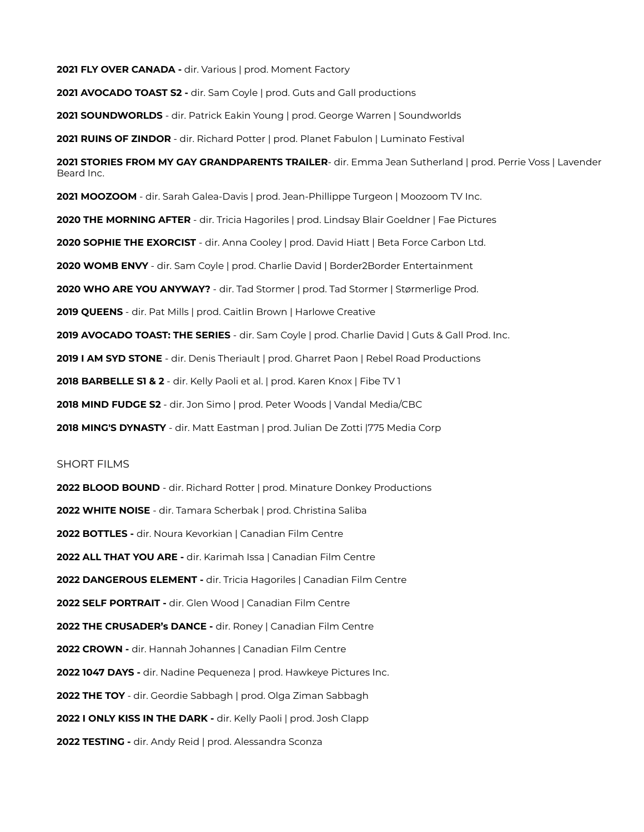**2021 FLY OVER CANADA -** dir. Various | prod. Moment Factory 2021 AVOCADO TOAST S2 - dir. Sam Coyle | prod. Guts and Gall productions **2021 SOUNDWORLDS** - dir. Patrick Eakin Young | prod. George Warren | Soundworlds **2021 RUINS OF ZINDOR** - dir. Richard Potter | prod. Planet Fabulon | Luminato Festival **2021 STORIES FROM MY GAY GRANDPARENTS TRAILER**- dir. Emma Jean Sutherland | prod. Perrie Voss | Lavender Beard Inc. **2021 MOOZOOM** - dir. Sarah Galea-Davis | prod. Jean-Phillippe Turgeon | Moozoom TV Inc. **2020 THE MORNING AFTER** - dir. Tricia Hagoriles | prod. Lindsay Blair Goeldner | Fae Pictures **2020 SOPHIE THE EXORCIST** - dir. Anna Cooley | prod. David Hiatt | Beta Force Carbon Ltd. **2020 WOMB ENVY** - dir. Sam Coyle | prod. Charlie David | Border2Border Entertainment **2020 WHO ARE YOU ANYWAY?** - dir. Tad Stormer | prod. Tad Stormer | Størmerlige Prod. **2019 QUEENS** - dir. Pat Mills | prod. Caitlin Brown | Harlowe Creative **2019 AVOCADO TOAST: THE SERIES** - dir. Sam Coyle | prod. Charlie David | Guts & Gall Prod. Inc. **2019 I AM SYD STONE** - dir. Denis Theriault | prod. Gharret Paon | Rebel Road Productions **2018 BARBELLE S1 & 2** - dir. Kelly Paoli et al. | prod. Karen Knox | Fibe TV 1 **2018 MIND FUDGE S2** - dir. Jon Simo | prod. Peter Woods | Vandal Media/CBC **2018 MING'S DYNASTY** - dir. Matt Eastman | prod. Julian De Zotti |775 Media Corp

## SHORT FILMS

**2022 BLOOD BOUND** - dir. Richard Rotter | prod. Minature Donkey Productions **2022 WHITE NOISE** - dir. Tamara Scherbak | prod. Christina Saliba **2022 BOTTLES -** dir. Noura Kevorkian | Canadian Film Centre **2022 ALL THAT YOU ARE -** dir. Karimah Issa | Canadian Film Centre **2022 DANGEROUS ELEMENT -** dir. Tricia Hagoriles | Canadian Film Centre **2022 SELF PORTRAIT -** dir. Glen Wood | Canadian Film Centre **2022 THE CRUSADER's DANCE -** dir. Roney | Canadian Film Centre **2022 CROWN -** dir. Hannah Johannes | Canadian Film Centre **2022 1047 DAYS -** dir. Nadine Pequeneza | prod. Hawkeye Pictures Inc. **2022 THE TOY** - dir. Geordie Sabbagh | prod. Olga Ziman Sabbagh **2022 I ONLY KISS IN THE DARK -** dir. Kelly Paoli | prod. Josh Clapp **2022 TESTING -** dir. Andy Reid | prod. Alessandra Sconza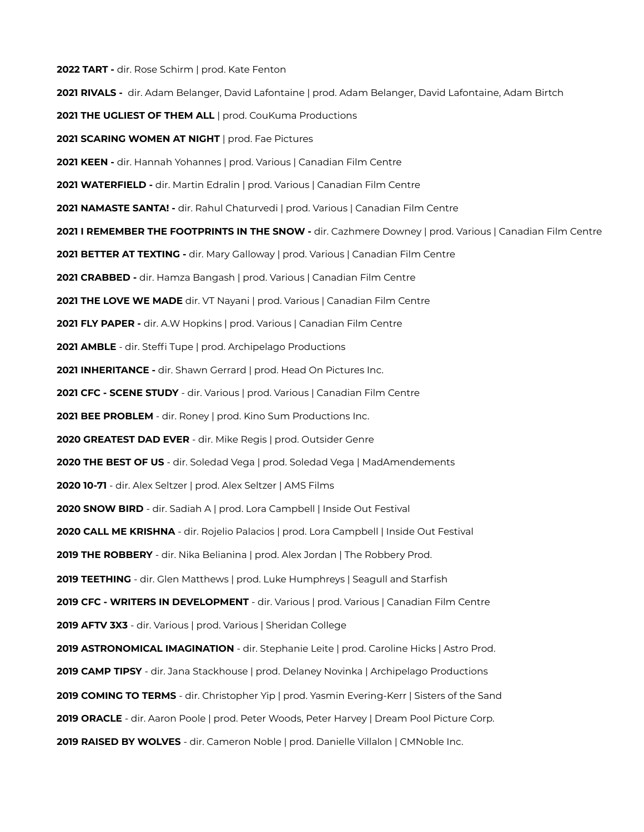**2022 TART -** dir. Rose Schirm | prod. Kate Fenton **2021 RIVALS -** dir. Adam Belanger, David Lafontaine | prod. Adam Belanger, David Lafontaine, Adam Birtch **2021 THE UGLIEST OF THEM ALL** | prod. CouKuma Productions **2021 SCARING WOMEN AT NIGHT** | prod. Fae Pictures **2021 KEEN -** dir. Hannah Yohannes | prod. Various | Canadian Film Centre **2021 WATERFIELD -** dir. Martin Edralin | prod. Various | Canadian Film Centre **2021 NAMASTE SANTA! -** dir. Rahul Chaturvedi | prod. Various | Canadian Film Centre **2021 I REMEMBER THE FOOTPRINTS IN THE SNOW -** dir. Cazhmere Downey | prod. Various | Canadian Film Centre **2021 BETTER AT TEXTING -** dir. Mary Galloway | prod. Various | Canadian Film Centre **2021 CRABBED -** dir. Hamza Bangash | prod. Various | Canadian Film Centre **2021 THE LOVE WE MADE** dir. VT Nayani | prod. Various | Canadian Film Centre **2021 FLY PAPER -** dir. A.W Hopkins | prod. Various | Canadian Film Centre **2021 AMBLE** - dir. Steffi Tupe | prod. Archipelago Productions **2021 INHERITANCE -** dir. Shawn Gerrard | prod. Head On Pictures Inc. **2021 CFC - SCENE STUDY** - dir. Various | prod. Various | Canadian Film Centre **2021 BEE PROBLEM** - dir. Roney | prod. Kino Sum Productions Inc. **2020 GREATEST DAD EVER** - dir. Mike Regis | prod. Outsider Genre **2020 THE BEST OF US** - dir. Soledad Vega | prod. Soledad Vega | MadAmendements **2020 10-71** - dir. Alex Seltzer | prod. Alex Seltzer | AMS Films **2020 SNOW BIRD** - dir. Sadiah A | prod. Lora Campbell | Inside Out Festival **2020 CALL ME KRISHNA** - dir. Rojelio Palacios | prod. Lora Campbell | Inside Out Festival **2019 THE ROBBERY** - dir. Nika Belianina | prod. Alex Jordan | The Robbery Prod. **2019 TEETHING** - dir. Glen Matthews | prod. Luke Humphreys | Seagull and Starfish **2019 CFC - WRITERS IN DEVELOPMENT** - dir. Various | prod. Various | Canadian Film Centre **2019 AFTV 3X3** - dir. Various | prod. Various | Sheridan College **2019 ASTRONOMICAL IMAGINATION** - dir. Stephanie Leite | prod. Caroline Hicks | Astro Prod. **2019 CAMP TIPSY** - dir. Jana Stackhouse | prod. Delaney Novinka | Archipelago Productions **2019 COMING TO TERMS** - dir. Christopher Yip | prod. Yasmin Evering-Kerr | Sisters of the Sand **2019 ORACLE** - dir. Aaron Poole | prod. Peter Woods, Peter Harvey | Dream Pool Picture Corp. **2019 RAISED BY WOLVES** - dir. Cameron Noble | prod. Danielle Villalon | CMNoble Inc.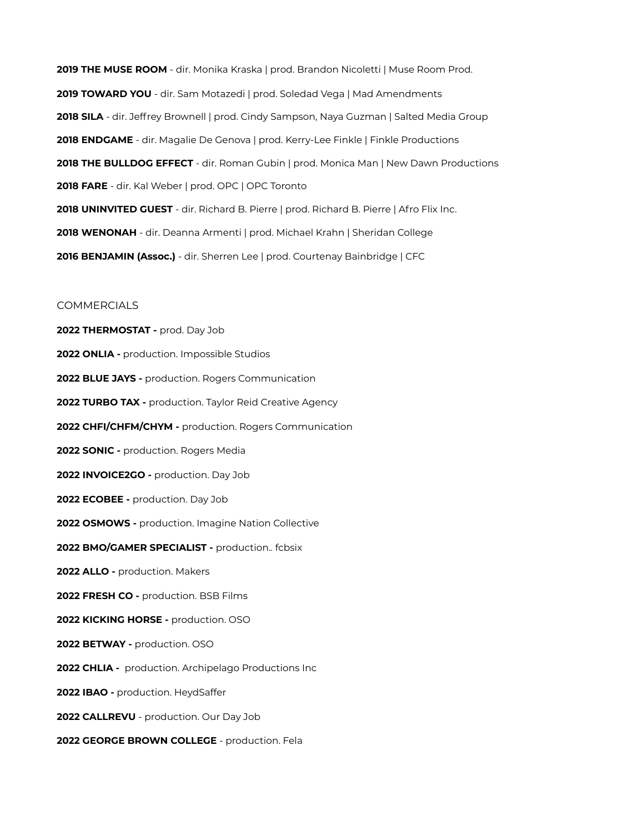**2019 THE MUSE ROOM** - dir. Monika Kraska | prod. Brandon Nicoletti | Muse Room Prod. **2019 TOWARD YOU** - dir. Sam Motazedi | prod. Soledad Vega | Mad Amendments **2018 SILA** - dir. Jeffrey Brownell | prod. Cindy Sampson, Naya Guzman | Salted Media Group **2018 ENDGAME** - dir. Magalie De Genova | prod. Kerry-Lee Finkle | Finkle Productions **2018 THE BULLDOG EFFECT** - dir. Roman Gubin | prod. Monica Man | New Dawn Productions **2018 FARE** - dir. Kal Weber | prod. OPC | OPC Toronto **2018 UNINVITED GUEST** - dir. Richard B. Pierre | prod. Richard B. Pierre | Afro Flix Inc. **2018 WENONAH** - dir. Deanna Armenti | prod. Michael Krahn | Sheridan College **2016 BENJAMIN (Assoc.)** - dir. Sherren Lee | prod. Courtenay Bainbridge | CFC

### **COMMERCIALS**

**2022 THERMOSTAT -** prod. Day Job **2022 ONLIA -** production. Impossible Studios **2022 BLUE JAYS -** production. Rogers Communication **2022 TURBO TAX -** production. Taylor Reid Creative Agency **2022 CHFI/CHFM/CHYM -** production. Rogers Communication **2022 SONIC -** production. Rogers Media **2022 INVOICE2GO -** production. Day Job **2022 ECOBEE -** production. Day Job **2022 OSMOWS -** production. Imagine Nation Collective **2022 BMO/GAMER SPECIALIST -** production.. fcbsix 2022 ALLO - production. Makers **2022 FRESH CO -** production. BSB Films **2022 KICKING HORSE -** production. OSO **2022 BETWAY -** production. OSO **2022 CHLIA -** production. Archipelago Productions Inc **2022 IBAO -** production. HeydSaffer **2022 CALLREVU** - production. Our Day Job **2022 GEORGE BROWN COLLEGE** - production. Fela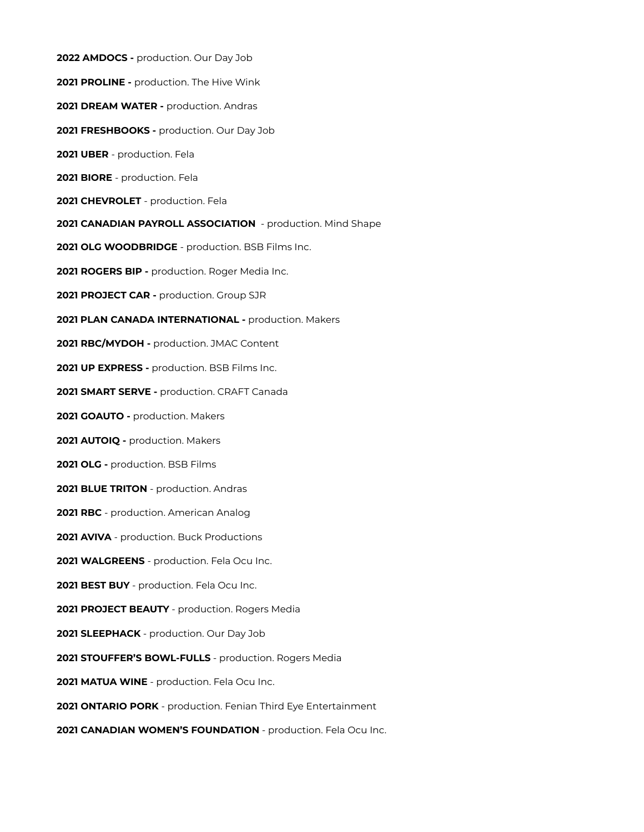**2022 AMDOCS -** production. Our Day Job **2021 PROLINE -** production. The Hive Wink **2021 DREAM WATER -** production. Andras **2021 FRESHBOOKS -** production. Our Day Job **2021 UBER** - production. Fela **2021 BIORE** - production. Fela **2021 CHEVROLET** - production. Fela **2021 CANADIAN PAYROLL ASSOCIATION** - production. Mind Shape **2021 OLG WOODBRIDGE** - production. BSB Films Inc. **2021 ROGERS BIP -** production. Roger Media Inc. **2021 PROJECT CAR -** production. Group SJR **2021 PLAN CANADA INTERNATIONAL -** production. Makers **2021 RBC/MYDOH -** production. JMAC Content **2021 UP EXPRESS -** production. BSB Films Inc. **2021 SMART SERVE -** production. CRAFT Canada **2021 GOAUTO -** production. Makers **2021 AUTOIQ -** production. Makers **2021 OLG -** production. BSB Films **2021 BLUE TRITON** - production. Andras **2021 RBC** - production. American Analog **2021 AVIVA** - production. Buck Productions **2021 WALGREENS** - production. Fela Ocu Inc. **2021 BEST BUY** - production. Fela Ocu Inc. **2021 PROJECT BEAUTY** - production. Rogers Media **2021 SLEEPHACK** - production. Our Day Job **2021 STOUFFER'S BOWL-FULLS** - production. Rogers Media **2021 MATUA WINE** - production. Fela Ocu Inc. **2021 ONTARIO PORK** - production. Fenian Third Eye Entertainment **2021 CANADIAN WOMEN'S FOUNDATION** - production. Fela Ocu Inc.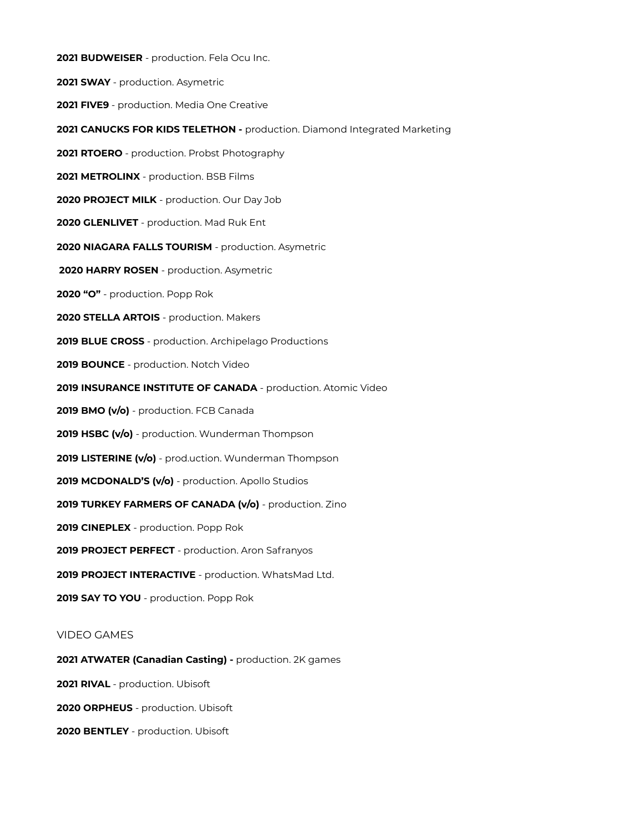**2021 BUDWEISER** - production. Fela Ocu Inc. **2021 SWAY** - production. Asymetric **2021 FIVE9** - production. Media One Creative **2021 CANUCKS FOR KIDS TELETHON -** production. Diamond Integrated Marketing **2021 RTOERO** - production. Probst Photography **2021 METROLINX** - production. BSB Films **2020 PROJECT MILK** - production. Our Day Job **2020 GLENLIVET** - production. Mad Ruk Ent **2020 NIAGARA FALLS TOURISM** - production. Asymetric **2020 HARRY ROSEN** - production. Asymetric **2020 "O"** - production. Popp Rok **2020 STELLA ARTOIS** - production. Makers **2019 BLUE CROSS** - production. Archipelago Productions **2019 BOUNCE** - production. Notch Video **2019 INSURANCE INSTITUTE OF CANADA** - production. Atomic Video **2019 BMO (v/o)** - production. FCB Canada **2019 HSBC (v/o)** - production. Wunderman Thompson **2019 LISTERINE (v/o)** - prod.uction. Wunderman Thompson **2019 MCDONALD'S (v/o)** - production. Apollo Studios **2019 TURKEY FARMERS OF CANADA (v/o)** - production. Zino **2019 CINEPLEX** - production. Popp Rok **2019 PROJECT PERFECT** - production. Aron Safranyos **2019 PROJECT INTERACTIVE** - production. WhatsMad Ltd. **2019 SAY TO YOU** - production. Popp Rok VIDEO GAMES **2021 ATWATER (Canadian Casting) -** production. 2K games **2021 RIVAL** - production. Ubisoft **2020 ORPHEUS** - production. Ubisoft

**2020 BENTLEY** - production. Ubisoft